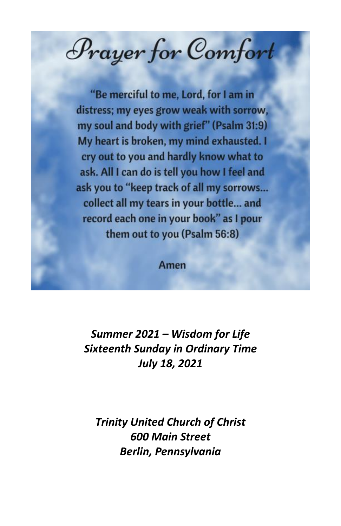Prayer for Comfort

"Be merciful to me, Lord, for I am in distress; my eyes grow weak with sorrow, my soul and body with grief" (Psalm 31:9) My heart is broken, my mind exhausted. I cry out to you and hardly know what to ask. All I can do is tell you how I feel and ask you to "keep track of all my sorrows... collect all my tears in your bottle... and record each one in your book" as I pour them out to you (Psalm 56:8)

Amen

*Summer 2021 – Wisdom for Life Sixteenth Sunday in Ordinary Time July 18, 2021*

*Trinity United Church of Christ 600 Main Street Berlin, Pennsylvania*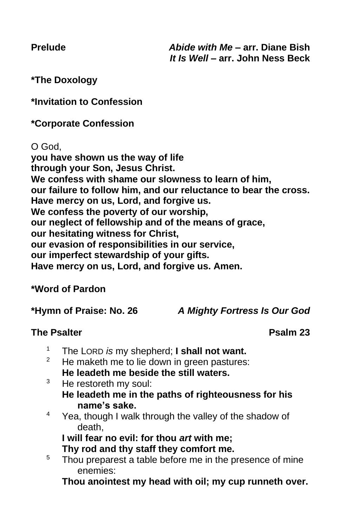**\*The Doxology**

**\*Invitation to Confession**

**\*Corporate Confession**

O God,

**you have shown us the way of life through your Son, Jesus Christ. We confess with shame our slowness to learn of him, our failure to follow him, and our reluctance to bear the cross. Have mercy on us, Lord, and forgive us. We confess the poverty of our worship, our neglect of fellowship and of the means of grace, our hesitating witness for Christ, our evasion of responsibilities in our service, our imperfect stewardship of your gifts. Have mercy on us, Lord, and forgive us. Amen.** 

# **\*Word of Pardon**

**\*Hymn of Praise: No. 26** *A Mighty Fortress Is Our God*

# **The Psalter Psalm 23**

- <sup>1</sup> The LORD *is* my shepherd; **I shall not want.**
- He maketh me to lie down in green pastures: **He leadeth me beside the still waters.**
- $3$  He restoreth my soul: **He leadeth me in the paths of righteousness for his name's sake.**
- $4$  Yea, though I walk through the valley of the shadow of death,

**I will fear no evil: for thou** *art* **with me;**

**Thy rod and thy staff they comfort me.**

<sup>5</sup> Thou preparest a table before me in the presence of mine enemies:

**Thou anointest my head with oil; my cup runneth over.**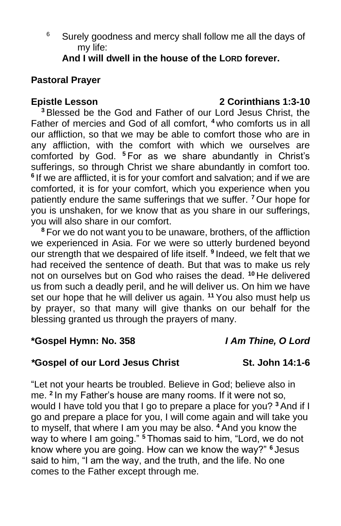$6$  Surely goodness and mercy shall follow me all the days of my life:

**And I will dwell in the house of the LORD forever.**

## **Pastoral Prayer**

## **Epistle Lesson 2 Corinthians 1:3-10**

**<sup>3</sup>** Blessed be the God and Father of our Lord Jesus Christ, the Father of mercies and God of all comfort, **<sup>4</sup>** who comforts us in all our affliction, so that we may be able to comfort those who are in any affliction, with the comfort with which we ourselves are comforted by God. **<sup>5</sup>** For as we share abundantly in Christ's sufferings, so through Christ we share abundantly in comfort too. <sup>6</sup> If we are afflicted, it is for your comfort and salvation; and if we are comforted, it is for your comfort, which you experience when you patiently endure the same sufferings that we suffer. **<sup>7</sup>** Our hope for you is unshaken, for we know that as you share in our sufferings, you will also share in our comfort.

**<sup>8</sup>** For we do not want you to be unaware, brothers, of the affliction we experienced in Asia. For we were so utterly burdened beyond our strength that we despaired of life itself. **<sup>9</sup>** Indeed, we felt that we had received the sentence of death. But that was to make us rely not on ourselves but on God who raises the dead. **<sup>10</sup>** He delivered us from such a deadly peril, and he will deliver us. On him we have set our hope that he will deliver us again. **<sup>11</sup>** You also must help us by prayer, so that many will give thanks on our behalf for the blessing granted us through the prayers of many.

## **\*Gospel Hymn: No. 358** *I Am Thine, O Lord*

## *\****Gospel of our Lord Jesus Christ St. John 14:1-6**

"Let not your hearts be troubled. Believe in God; believe also in me. **<sup>2</sup>** In my Father's house are many rooms. If it were not so, would I have told you that I go to prepare a place for you? **<sup>3</sup>** And if I go and prepare a place for you, I will come again and will take you to myself, that where I am you may be also. **<sup>4</sup>** And you know the way to where I am going." **<sup>5</sup>** Thomas said to him, "Lord, we do not know where you are going. How can we know the way?" **<sup>6</sup>** Jesus said to him, "I am the way, and the truth, and the life. No one comes to the Father except through me.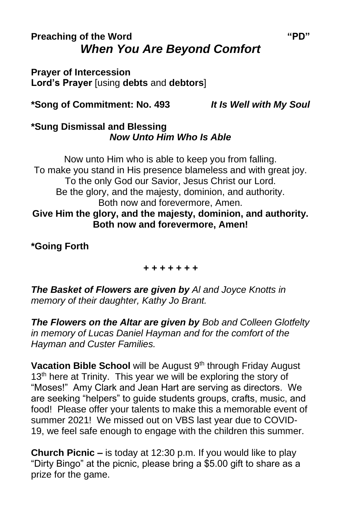# **Preaching of the Word "PD"** *When You Are Beyond Comfort*

**Prayer of Intercession Lord's Prayer** [using **debts** and **debtors**]

**\*Song of Commitment: No. 493** *It Is Well with My Soul*

## **\*Sung Dismissal and Blessing** *Now Unto Him Who Is Able*

Now unto Him who is able to keep you from falling. To make you stand in His presence blameless and with great joy. To the only God our Savior, Jesus Christ our Lord. Be the glory, and the majesty, dominion, and authority. Both now and forevermore, Amen. **Give Him the glory, and the majesty, dominion, and authority. Both now and forevermore, Amen!**

**\*Going Forth**

*+ + + + + + +*

*The Basket of Flowers are given by Al and Joyce Knotts in memory of their daughter, Kathy Jo Brant.*

*The Flowers on the Altar are given by Bob and Colleen Glotfelty in memory of Lucas Daniel Hayman and for the comfort of the Hayman and Custer Families.*

Vacation Bible School will be August 9<sup>th</sup> through Friday August 13<sup>th</sup> here at Trinity. This year we will be exploring the story of "Moses!" Amy Clark and Jean Hart are serving as directors. We are seeking "helpers" to guide students groups, crafts, music, and food! Please offer your talents to make this a memorable event of summer 2021! We missed out on VBS last year due to COVID-19, we feel safe enough to engage with the children this summer.

**Church Picnic –** is today at 12:30 p.m. If you would like to play "Dirty Bingo" at the picnic, please bring a \$5.00 gift to share as a prize for the game.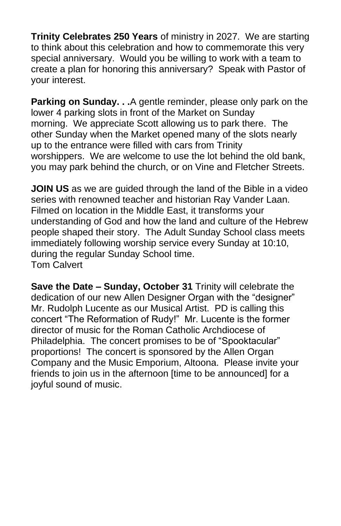**Trinity Celebrates 250 Years** of ministry in 2027. We are starting to think about this celebration and how to commemorate this very special anniversary. Would you be willing to work with a team to create a plan for honoring this anniversary? Speak with Pastor of your interest.

**Parking on Sunday. . .**A gentle reminder, please only park on the lower 4 parking slots in front of the Market on Sunday morning. We appreciate Scott allowing us to park there. The other Sunday when the Market opened many of the slots nearly up to the entrance were filled with cars from Trinity worshippers. We are welcome to use the lot behind the old bank, you may park behind the church, or on Vine and Fletcher Streets.

**JOIN US** as we are guided through the land of the Bible in a video series with renowned teacher and historian Ray Vander Laan. Filmed on location in the Middle East, it transforms your understanding of God and how the land and culture of the Hebrew people shaped their story. The Adult Sunday School class meets immediately following worship service every Sunday at 10:10, during the regular Sunday School time. Tom Calvert

**Save the Date – Sunday, October 31** Trinity will celebrate the dedication of our new Allen Designer Organ with the "designer" Mr. Rudolph Lucente as our Musical Artist. PD is calling this concert "The Reformation of Rudy!" Mr. Lucente is the former director of music for the Roman Catholic Archdiocese of Philadelphia. The concert promises to be of "Spooktacular" proportions! The concert is sponsored by the Allen Organ Company and the Music Emporium, Altoona. Please invite your friends to join us in the afternoon [time to be announced] for a joyful sound of music.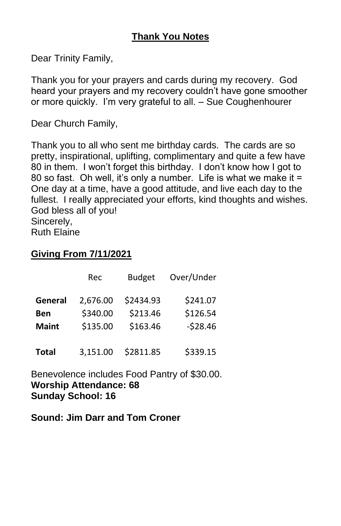Dear Trinity Family,

Thank you for your prayers and cards during my recovery. God heard your prayers and my recovery couldn't have gone smoother or more quickly. I'm very grateful to all. – Sue Coughenhourer

Dear Church Family,

Thank you to all who sent me birthday cards. The cards are so pretty, inspirational, uplifting, complimentary and quite a few have 80 in them. I won't forget this birthday. I don't know how I got to 80 so fast. Oh well, it's only a number. Life is what we make it = One day at a time, have a good attitude, and live each day to the fullest. I really appreciated your efforts, kind thoughts and wishes. God bless all of you! Sincerely, Ruth Elaine

## **Giving From 7/11/2021**

|              | Rec      | <b>Budget</b> | Over/Under |
|--------------|----------|---------------|------------|
| General      | 2,676.00 | \$2434.93     | \$241.07   |
| <b>Ben</b>   | \$340.00 | \$213.46      | \$126.54   |
| <b>Maint</b> | \$135.00 | \$163.46      | $-528.46$  |
| <b>Total</b> | 3,151.00 | \$2811.85     | \$339.15   |

Benevolence includes Food Pantry of \$30.00. **Worship Attendance: 68 Sunday School: 16**

**Sound: Jim Darr and Tom Croner**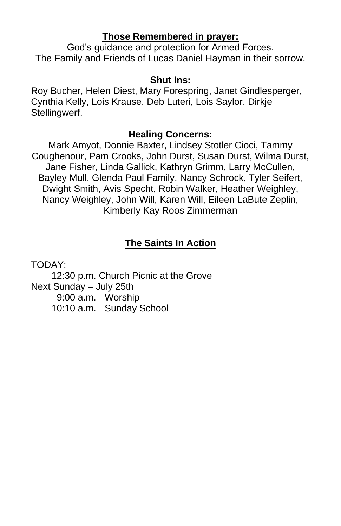## **Those Remembered in prayer:**

God's guidance and protection for Armed Forces. The Family and Friends of Lucas Daniel Hayman in their sorrow.

## **Shut Ins:**

Roy Bucher, Helen Diest, Mary Forespring, Janet Gindlesperger, Cynthia Kelly, Lois Krause, Deb Luteri, Lois Saylor, Dirkje Stellingwerf.

## **Healing Concerns:**

Mark Amyot, Donnie Baxter, Lindsey Stotler Cioci, Tammy Coughenour, Pam Crooks, John Durst, Susan Durst, Wilma Durst, Jane Fisher, Linda Gallick, Kathryn Grimm, Larry McCullen, Bayley Mull, Glenda Paul Family, Nancy Schrock, Tyler Seifert, Dwight Smith, Avis Specht, Robin Walker, Heather Weighley, Nancy Weighley, John Will, Karen Will, Eileen LaBute Zeplin, Kimberly Kay Roos Zimmerman

# **The Saints In Action**

TODAY:

12:30 p.m. Church Picnic at the Grove Next Sunday – July 25th 9:00 a.m. Worship 10:10 a.m. Sunday School